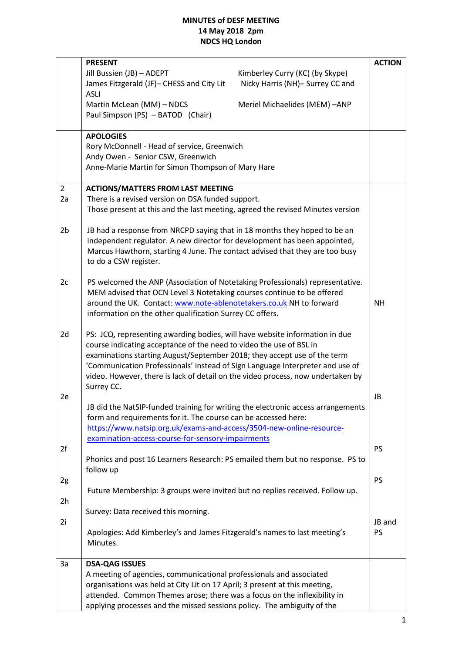|                | <b>PRESENT</b>                                                                                                                                |  | <b>ACTION</b> |
|----------------|-----------------------------------------------------------------------------------------------------------------------------------------------|--|---------------|
|                | Jill Bussien (JB) - ADEPT<br>Kimberley Curry (KC) (by Skype)                                                                                  |  |               |
|                | James Fitzgerald (JF)- CHESS and City Lit<br>Nicky Harris (NH)- Surrey CC and                                                                 |  |               |
|                | <b>ASLI</b>                                                                                                                                   |  |               |
|                | Martin McLean (MM) - NDCS<br>Meriel Michaelides (MEM) -ANP                                                                                    |  |               |
|                | Paul Simpson (PS) - BATOD (Chair)                                                                                                             |  |               |
|                |                                                                                                                                               |  |               |
|                | <b>APOLOGIES</b>                                                                                                                              |  |               |
|                | Rory McDonnell - Head of service, Greenwich                                                                                                   |  |               |
|                | Andy Owen - Senior CSW, Greenwich                                                                                                             |  |               |
|                | Anne-Marie Martin for Simon Thompson of Mary Hare                                                                                             |  |               |
| $\overline{2}$ | <b>ACTIONS/MATTERS FROM LAST MEETING</b>                                                                                                      |  |               |
| 2a             | There is a revised version on DSA funded support.                                                                                             |  |               |
|                | Those present at this and the last meeting, agreed the revised Minutes version                                                                |  |               |
|                |                                                                                                                                               |  |               |
| 2b             | JB had a response from NRCPD saying that in 18 months they hoped to be an                                                                     |  |               |
|                | independent regulator. A new director for development has been appointed,                                                                     |  |               |
|                | Marcus Hawthorn, starting 4 June. The contact advised that they are too busy                                                                  |  |               |
|                | to do a CSW register.                                                                                                                         |  |               |
|                |                                                                                                                                               |  |               |
| 2c             | PS welcomed the ANP (Association of Notetaking Professionals) representative.                                                                 |  |               |
|                | MEM advised that OCN Level 3 Notetaking courses continue to be offered<br>around the UK. Contact: www.note-ablenotetakers.co.uk NH to forward |  | ΝH            |
|                | information on the other qualification Surrey CC offers.                                                                                      |  |               |
|                |                                                                                                                                               |  |               |
| 2d             | PS: JCQ, representing awarding bodies, will have website information in due                                                                   |  |               |
|                | course indicating acceptance of the need to video the use of BSL in                                                                           |  |               |
|                | examinations starting August/September 2018; they accept use of the term                                                                      |  |               |
|                | 'Communication Professionals' instead of Sign Language Interpreter and use of                                                                 |  |               |
|                | video. However, there is lack of detail on the video process, now undertaken by                                                               |  |               |
|                | Surrey CC.                                                                                                                                    |  |               |
| 2e             |                                                                                                                                               |  | JB            |
|                | JB did the NatSIP-funded training for writing the electronic access arrangements                                                              |  |               |
|                | form and requirements for it. The course can be accessed here:<br>https://www.natsip.org.uk/exams-and-access/3504-new-online-resource-        |  |               |
|                | examination-access-course-for-sensory-impairments                                                                                             |  |               |
| 2f             |                                                                                                                                               |  | <b>PS</b>     |
|                | Phonics and post 16 Learners Research: PS emailed them but no response. PS to                                                                 |  |               |
|                | follow up                                                                                                                                     |  |               |
| 2g             |                                                                                                                                               |  | <b>PS</b>     |
|                | Future Membership: 3 groups were invited but no replies received. Follow up.                                                                  |  |               |
| 2h             |                                                                                                                                               |  |               |
|                | Survey: Data received this morning.                                                                                                           |  |               |
| 2i             |                                                                                                                                               |  | JB and        |
|                | Apologies: Add Kimberley's and James Fitzgerald's names to last meeting's                                                                     |  | <b>PS</b>     |
|                | Minutes.                                                                                                                                      |  |               |
| 3a             | <b>DSA-QAG ISSUES</b>                                                                                                                         |  |               |
|                | A meeting of agencies, communicational professionals and associated                                                                           |  |               |
|                | organisations was held at City Lit on 17 April; 3 present at this meeting,                                                                    |  |               |
|                | attended. Common Themes arose; there was a focus on the inflexibility in                                                                      |  |               |
|                | applying processes and the missed sessions policy. The ambiguity of the                                                                       |  |               |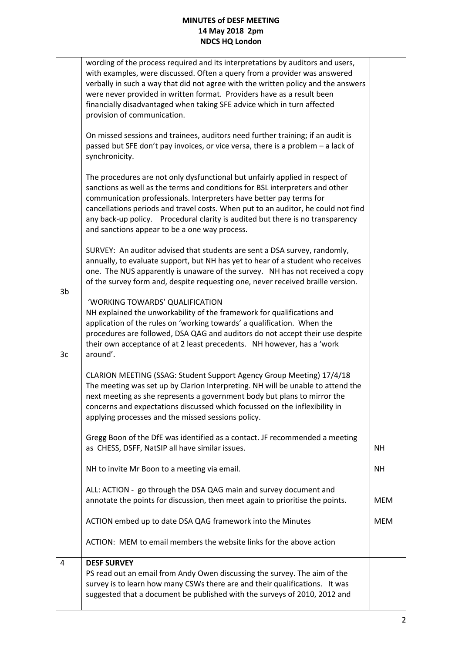| 3b<br>3c | wording of the process required and its interpretations by auditors and users,<br>with examples, were discussed. Often a query from a provider was answered<br>verbally in such a way that did not agree with the written policy and the answers<br>were never provided in written format. Providers have as a result been<br>financially disadvantaged when taking SFE advice which in turn affected<br>provision of communication.<br>On missed sessions and trainees, auditors need further training; if an audit is<br>passed but SFE don't pay invoices, or vice versa, there is a problem - a lack of<br>synchronicity.<br>The procedures are not only dysfunctional but unfairly applied in respect of<br>sanctions as well as the terms and conditions for BSL interpreters and other<br>communication professionals. Interpreters have better pay terms for<br>cancellations periods and travel costs. When put to an auditor, he could not find<br>any back-up policy. Procedural clarity is audited but there is no transparency<br>and sanctions appear to be a one way process.<br>SURVEY: An auditor advised that students are sent a DSA survey, randomly,<br>annually, to evaluate support, but NH has yet to hear of a student who receives<br>one. The NUS apparently is unaware of the survey. NH has not received a copy<br>of the survey form and, despite requesting one, never received braille version.<br>'WORKING TOWARDS' QUALIFICATION<br>NH explained the unworkability of the framework for qualifications and<br>application of the rules on 'working towards' a qualification. When the<br>procedures are followed, DSA QAG and auditors do not accept their use despite<br>their own acceptance of at 2 least precedents. NH however, has a 'work<br>around'. |            |
|----------|------------------------------------------------------------------------------------------------------------------------------------------------------------------------------------------------------------------------------------------------------------------------------------------------------------------------------------------------------------------------------------------------------------------------------------------------------------------------------------------------------------------------------------------------------------------------------------------------------------------------------------------------------------------------------------------------------------------------------------------------------------------------------------------------------------------------------------------------------------------------------------------------------------------------------------------------------------------------------------------------------------------------------------------------------------------------------------------------------------------------------------------------------------------------------------------------------------------------------------------------------------------------------------------------------------------------------------------------------------------------------------------------------------------------------------------------------------------------------------------------------------------------------------------------------------------------------------------------------------------------------------------------------------------------------------------------------------------------------------------------------------------------------------------------|------------|
|          | CLARION MEETING (SSAG: Student Support Agency Group Meeting) 17/4/18<br>The meeting was set up by Clarion Interpreting. NH will be unable to attend the<br>next meeting as she represents a government body but plans to mirror the<br>concerns and expectations discussed which focussed on the inflexibility in<br>applying processes and the missed sessions policy.                                                                                                                                                                                                                                                                                                                                                                                                                                                                                                                                                                                                                                                                                                                                                                                                                                                                                                                                                                                                                                                                                                                                                                                                                                                                                                                                                                                                                        |            |
|          | Gregg Boon of the DfE was identified as a contact. JF recommended a meeting<br>as CHESS, DSFF, NatSIP all have similar issues.                                                                                                                                                                                                                                                                                                                                                                                                                                                                                                                                                                                                                                                                                                                                                                                                                                                                                                                                                                                                                                                                                                                                                                                                                                                                                                                                                                                                                                                                                                                                                                                                                                                                 | <b>NH</b>  |
|          | NH to invite Mr Boon to a meeting via email.                                                                                                                                                                                                                                                                                                                                                                                                                                                                                                                                                                                                                                                                                                                                                                                                                                                                                                                                                                                                                                                                                                                                                                                                                                                                                                                                                                                                                                                                                                                                                                                                                                                                                                                                                   | NH.        |
|          | ALL: ACTION - go through the DSA QAG main and survey document and<br>annotate the points for discussion, then meet again to prioritise the points.                                                                                                                                                                                                                                                                                                                                                                                                                                                                                                                                                                                                                                                                                                                                                                                                                                                                                                                                                                                                                                                                                                                                                                                                                                                                                                                                                                                                                                                                                                                                                                                                                                             | <b>MEM</b> |
|          | ACTION embed up to date DSA QAG framework into the Minutes                                                                                                                                                                                                                                                                                                                                                                                                                                                                                                                                                                                                                                                                                                                                                                                                                                                                                                                                                                                                                                                                                                                                                                                                                                                                                                                                                                                                                                                                                                                                                                                                                                                                                                                                     | <b>MEM</b> |
|          | ACTION: MEM to email members the website links for the above action                                                                                                                                                                                                                                                                                                                                                                                                                                                                                                                                                                                                                                                                                                                                                                                                                                                                                                                                                                                                                                                                                                                                                                                                                                                                                                                                                                                                                                                                                                                                                                                                                                                                                                                            |            |
| 4        | <b>DESF SURVEY</b><br>PS read out an email from Andy Owen discussing the survey. The aim of the                                                                                                                                                                                                                                                                                                                                                                                                                                                                                                                                                                                                                                                                                                                                                                                                                                                                                                                                                                                                                                                                                                                                                                                                                                                                                                                                                                                                                                                                                                                                                                                                                                                                                                |            |
|          | survey is to learn how many CSWs there are and their qualifications. It was<br>suggested that a document be published with the surveys of 2010, 2012 and                                                                                                                                                                                                                                                                                                                                                                                                                                                                                                                                                                                                                                                                                                                                                                                                                                                                                                                                                                                                                                                                                                                                                                                                                                                                                                                                                                                                                                                                                                                                                                                                                                       |            |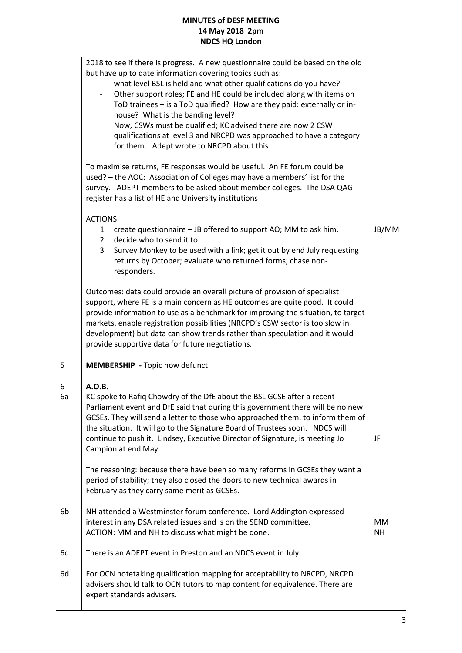|         | 2018 to see if there is progress. A new questionnaire could be based on the old<br>but have up to date information covering topics such as:<br>what level BSL is held and what other qualifications do you have?<br>Other support roles; FE and HE could be included along with items on<br>$\overline{\phantom{a}}$<br>ToD trainees - is a ToD qualified? How are they paid: externally or in-<br>house? What is the banding level?<br>Now, CSWs must be qualified; KC advised there are now 2 CSW<br>qualifications at level 3 and NRCPD was approached to have a category<br>for them. Adept wrote to NRCPD about this |                 |
|---------|---------------------------------------------------------------------------------------------------------------------------------------------------------------------------------------------------------------------------------------------------------------------------------------------------------------------------------------------------------------------------------------------------------------------------------------------------------------------------------------------------------------------------------------------------------------------------------------------------------------------------|-----------------|
|         | To maximise returns, FE responses would be useful. An FE forum could be<br>used? - the AOC: Association of Colleges may have a members' list for the<br>survey. ADEPT members to be asked about member colleges. The DSA QAG<br>register has a list of HE and University institutions                                                                                                                                                                                                                                                                                                                                     |                 |
|         | <b>ACTIONS:</b><br>create questionnaire - JB offered to support AO; MM to ask him.<br>$1 \quad$<br>$2^{\circ}$<br>decide who to send it to<br>3<br>Survey Monkey to be used with a link; get it out by end July requesting<br>returns by October; evaluate who returned forms; chase non-<br>responders.                                                                                                                                                                                                                                                                                                                  | JB/MM           |
|         | Outcomes: data could provide an overall picture of provision of specialist<br>support, where FE is a main concern as HE outcomes are quite good. It could<br>provide information to use as a benchmark for improving the situation, to target<br>markets, enable registration possibilities (NRCPD's CSW sector is too slow in<br>development) but data can show trends rather than speculation and it would<br>provide supportive data for future negotiations.                                                                                                                                                          |                 |
| 5       | MEMBERSHIP - Topic now defunct                                                                                                                                                                                                                                                                                                                                                                                                                                                                                                                                                                                            |                 |
| 6<br>6a | A.O.B.<br>KC spoke to Rafiq Chowdry of the DfE about the BSL GCSE after a recent<br>Parliament event and DfE said that during this government there will be no new<br>GCSEs. They will send a letter to those who approached them, to inform them of<br>the situation. It will go to the Signature Board of Trustees soon. NDCS will<br>continue to push it. Lindsey, Executive Director of Signature, is meeting Jo<br>Campion at end May.                                                                                                                                                                               | JF              |
|         | The reasoning: because there have been so many reforms in GCSEs they want a<br>period of stability; they also closed the doors to new technical awards in<br>February as they carry same merit as GCSEs.                                                                                                                                                                                                                                                                                                                                                                                                                  |                 |
| 6b      | NH attended a Westminster forum conference. Lord Addington expressed<br>interest in any DSA related issues and is on the SEND committee.<br>ACTION: MM and NH to discuss what might be done.                                                                                                                                                                                                                                                                                                                                                                                                                              | MM<br><b>NH</b> |
| 6c      | There is an ADEPT event in Preston and an NDCS event in July.                                                                                                                                                                                                                                                                                                                                                                                                                                                                                                                                                             |                 |
| 6d      |                                                                                                                                                                                                                                                                                                                                                                                                                                                                                                                                                                                                                           |                 |